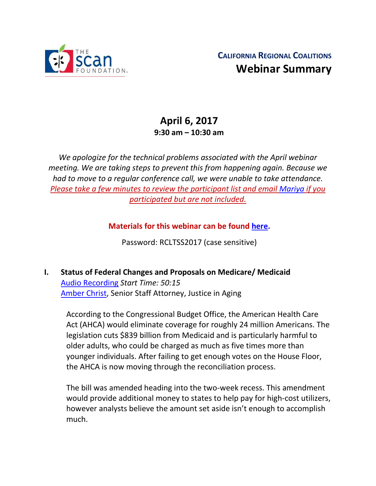

# **April 6, 2017 9:30 am – 10:30 am**

*We apologize for the technical problems associated with the April webinar meeting. We are taking steps to prevent this from happening again. Because we had to move to a regular conference call, we were unable to take attendance. Please take a few minutes to review the participant list and email [Mariya](mailto:mariya@gacinstitute.org) if you participated but are not included.*

**Materials for this webinar can be found [here.](http://www.ccltss.org/regional-coalition-meeting-materials/)**

Password: RCLTSS2017 (case sensitive)

**I. Status of Federal Changes and Proposals on Medicare/ Medicaid** [Audio Recording](https://attendee.gotowebinar.com/register/3762296075216071171) *Start Time: 50:15* [Amber Christ,](mailto:achrist@justiceinaging.org) Senior Staff Attorney, Justice in Aging

According to the Congressional Budget Office, the American Health Care Act (AHCA) would eliminate coverage for roughly 24 million Americans. The legislation cuts \$839 billion from Medicaid and is particularly harmful to older adults, who could be charged as much as five times more than younger individuals. After failing to get enough votes on the House Floor, the AHCA is now moving through the reconciliation process.

The bill was amended heading into the two-week recess. This amendment would provide additional money to states to help pay for high-cost utilizers, however analysts believe the amount set aside isn't enough to accomplish much.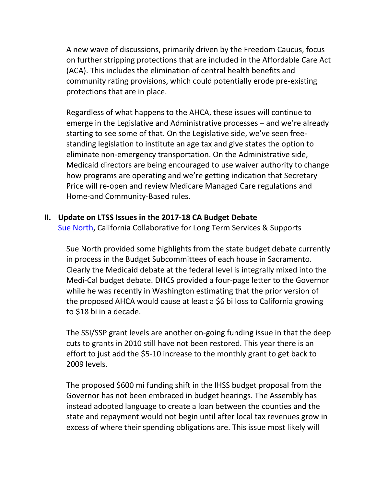A new wave of discussions, primarily driven by the Freedom Caucus, focus on further stripping protections that are included in the Affordable Care Act (ACA). This includes the elimination of central health benefits and community rating provisions, which could potentially erode pre-existing protections that are in place.

Regardless of what happens to the AHCA, these issues will continue to emerge in the Legislative and Administrative processes – and we're already starting to see some of that. On the Legislative side, we've seen freestanding legislation to institute an age tax and give states the option to eliminate non-emergency transportation. On the Administrative side, Medicaid directors are being encouraged to use waiver authority to change how programs are operating and we're getting indication that Secretary Price will re-open and review Medicare Managed Care regulations and Home-and Community-Based rules.

## **II. Update on LTSS Issues in the 2017-18 CA Budget Debate**

[Sue North,](mailto:snorthca@gmail.com) California Collaborative for Long Term Services & Supports

Sue North provided some highlights from the state budget debate currently in process in the Budget Subcommittees of each house in Sacramento. Clearly the Medicaid debate at the federal level is integrally mixed into the Medi-Cal budget debate. DHCS provided a four-page letter to the Governor while he was recently in Washington estimating that the prior version of the proposed AHCA would cause at least a \$6 bi loss to California growing to \$18 bi in a decade.

The SSI/SSP grant levels are another on-going funding issue in that the deep cuts to grants in 2010 still have not been restored. This year there is an effort to just add the \$5-10 increase to the monthly grant to get back to 2009 levels.

The proposed \$600 mi funding shift in the IHSS budget proposal from the Governor has not been embraced in budget hearings. The Assembly has instead adopted language to create a loan between the counties and the state and repayment would not begin until after local tax revenues grow in excess of where their spending obligations are. This issue most likely will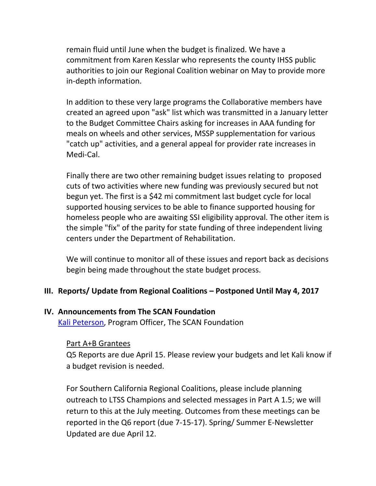remain fluid until June when the budget is finalized. We have a commitment from Karen Kesslar who represents the county IHSS public authorities to join our Regional Coalition webinar on May to provide more in-depth information.

In addition to these very large programs the Collaborative members have created an agreed upon "ask" list which was transmitted in a January letter to the Budget Committee Chairs asking for increases in AAA funding for meals on wheels and other services, MSSP supplementation for various "catch up" activities, and a general appeal for provider rate increases in Medi-Cal.

Finally there are two other remaining budget issues relating to proposed cuts of two activities where new funding was previously secured but not begun yet. The first is a \$42 mi commitment last budget cycle for local supported housing services to be able to finance supported housing for homeless people who are awaiting SSI eligibility approval. The other item is the simple "fix" of the parity for state funding of three independent living centers under the Department of Rehabilitation.

We will continue to monitor all of these issues and report back as decisions begin being made throughout the state budget process.

## **III. Reports/ Update from Regional Coalitions – Postponed Until May 4, 2017**

#### **IV. Announcements from The SCAN Foundation**

[Kali Peterson,](mailto:KPeterson@thescanfoundation.org) Program Officer, The SCAN Foundation

## Part A+B Grantees

Q5 Reports are due April 15. Please review your budgets and let Kali know if a budget revision is needed.

For Southern California Regional Coalitions, please include planning outreach to LTSS Champions and selected messages in Part A 1.5; we will return to this at the July meeting. Outcomes from these meetings can be reported in the Q6 report (due 7-15-17). Spring/ Summer E-Newsletter Updated are due April 12.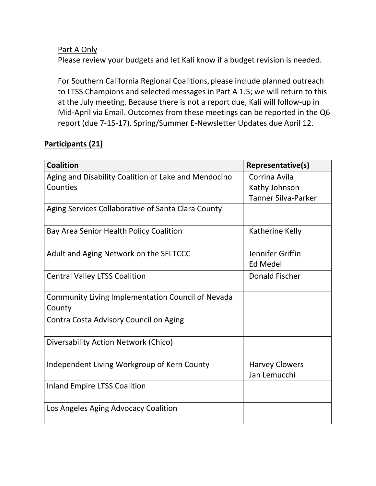## Part A Only

Please review your budgets and let Kali know if a budget revision is needed.

For Southern California Regional Coalitions, please include planned outreach to LTSS Champions and selected messages in Part A 1.5; we will return to this at the July meeting. Because there is not a report due, Kali will follow-up in Mid-April via Email. Outcomes from these meetings can be reported in the Q6 report (due 7-15-17). Spring/Summer E-Newsletter Updates due April 12.

# **Participants (21)**

| <b>Coalition</b>                                            | Representative(s)                     |
|-------------------------------------------------------------|---------------------------------------|
| Aging and Disability Coalition of Lake and Mendocino        | Corrina Avila                         |
| Counties                                                    | Kathy Johnson                         |
|                                                             | <b>Tanner Silva-Parker</b>            |
| Aging Services Collaborative of Santa Clara County          |                                       |
| Bay Area Senior Health Policy Coalition                     | Katherine Kelly                       |
| Adult and Aging Network on the SFLTCCC                      | Jennifer Griffin                      |
|                                                             | <b>Ed Medel</b>                       |
| <b>Central Valley LTSS Coalition</b>                        | Donald Fischer                        |
| Community Living Implementation Council of Nevada<br>County |                                       |
| Contra Costa Advisory Council on Aging                      |                                       |
| Diversability Action Network (Chico)                        |                                       |
| Independent Living Workgroup of Kern County                 | <b>Harvey Clowers</b><br>Jan Lemucchi |
| <b>Inland Empire LTSS Coalition</b>                         |                                       |
| Los Angeles Aging Advocacy Coalition                        |                                       |